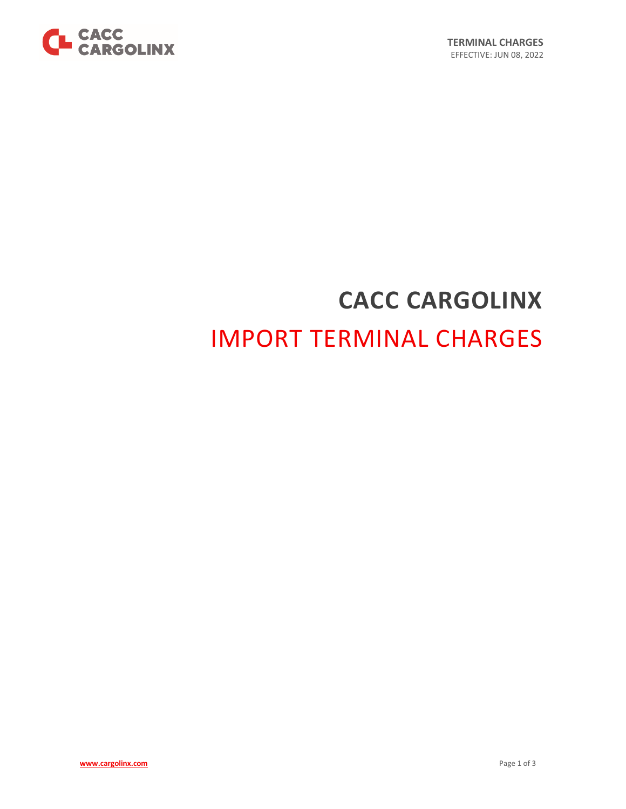

# **CACC CARGOLINX** IMPORT TERMINAL CHARGES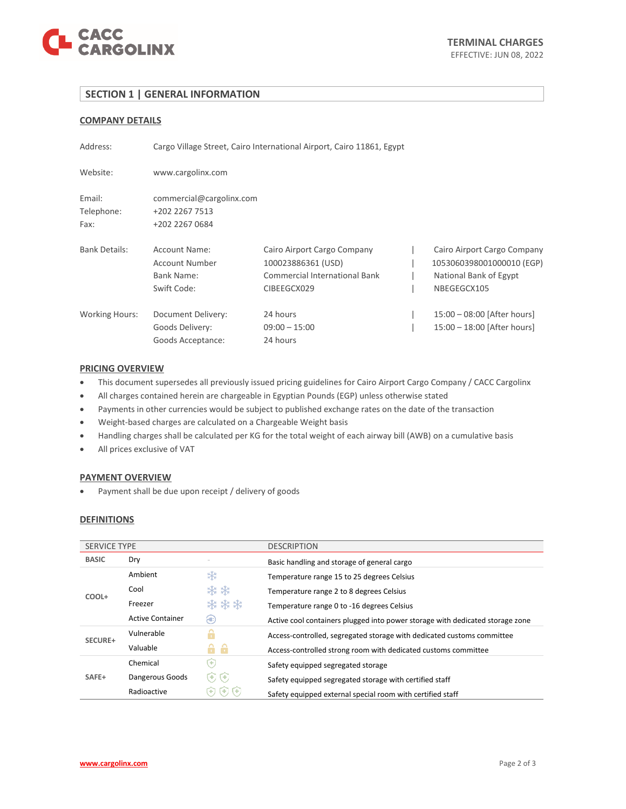

## **SECTION 1 | GENERAL INFORMATION**

## **COMPANY DETAILS**

| Address:                     | Cargo Village Street, Cairo International Airport, Cairo 11861, Egypt |                                                                                                   |  |                                                                                                   |
|------------------------------|-----------------------------------------------------------------------|---------------------------------------------------------------------------------------------------|--|---------------------------------------------------------------------------------------------------|
| Website:                     | www.cargolinx.com                                                     |                                                                                                   |  |                                                                                                   |
| Email:<br>Telephone:<br>Fax: | commercial@cargolinx.com<br>+202 2267 7513<br>+202 2267 0684          |                                                                                                   |  |                                                                                                   |
| <b>Bank Details:</b>         | Account Name:<br>Account Number<br>Bank Name:<br>Swift Code:          | Cairo Airport Cargo Company<br>100023886361 (USD)<br>Commercial International Bank<br>CIBEEGCX029 |  | Cairo Airport Cargo Company<br>1053060398001000010 (EGP)<br>National Bank of Egypt<br>NBEGEGCX105 |
| <b>Working Hours:</b>        | Document Delivery:<br>Goods Delivery:<br>Goods Acceptance:            | 24 hours<br>$09:00 - 15:00$<br>24 hours                                                           |  | 15:00 - 08:00 [After hours]<br>15:00 - 18:00 [After hours]                                        |

### **PRICING OVERVIEW**

- This document supersedes all previously issued pricing guidelines for Cairo Airport Cargo Company / CACC Cargolinx
- All charges contained herein are chargeable in Egyptian Pounds (EGP) unless otherwise stated
- Payments in other currencies would be subject to published exchange rates on the date of the transaction
- Weight-based charges are calculated on a Chargeable Weight basis
- Handling charges shall be calculated per KG for the total weight of each airway bill (AWB) on a cumulative basis
- All prices exclusive of VAT

## **PAYMENT OVERVIEW**

• Payment shall be due upon receipt / delivery of goods

### **DEFINITIONS**

| <b>SERVICE TYPE</b> |                         |                      | <b>DESCRIPTION</b>                                                            |  |
|---------------------|-------------------------|----------------------|-------------------------------------------------------------------------------|--|
| <b>BASIC</b>        | Dry                     |                      | Basic handling and storage of general cargo                                   |  |
| COOL+               | Ambient                 | *                    | Temperature range 15 to 25 degrees Celsius                                    |  |
|                     | Cool                    | **                   | Temperature range 2 to 8 degrees Celsius                                      |  |
|                     | Freezer                 | ***                  | Temperature range 0 to -16 degrees Celsius                                    |  |
|                     | <b>Active Container</b> | æ                    | Active cool containers plugged into power storage with dedicated storage zone |  |
| SECURE+             | Vulnerable              |                      | Access-controlled, segregated storage with dedicated customs committee        |  |
|                     | Valuable                | A                    | Access-controlled strong room with dedicated customs committee                |  |
|                     | Chemical                | (+)                  | Safety equipped segregated storage                                            |  |
| SAFE+               | Dangerous Goods         | $(\bullet)$<br>$(+)$ | Safety equipped segregated storage with certified staff                       |  |
|                     | Radioactive             | Ð                    | Safety equipped external special room with certified staff                    |  |